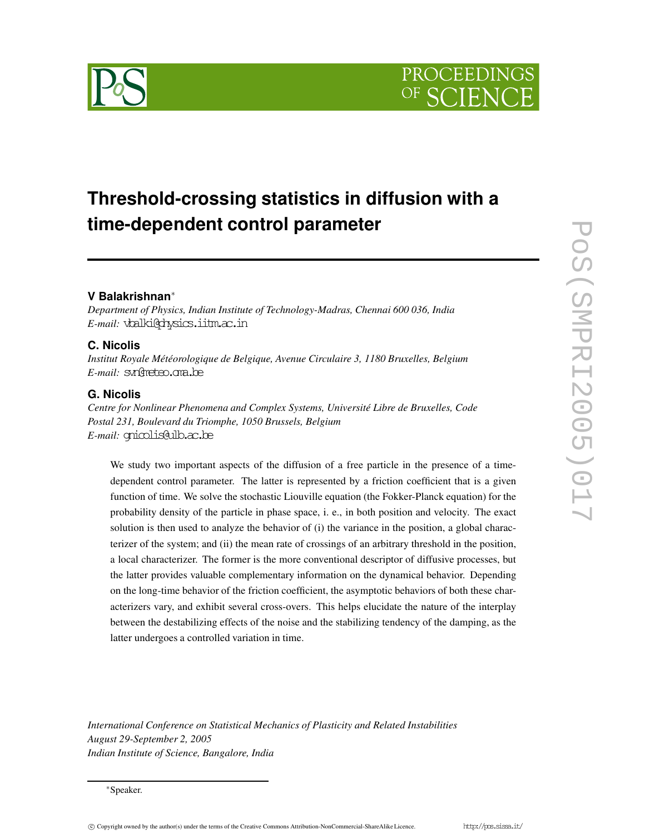

# **Threshold-crossing statistics in diffusion with a time-dependent control parameter**

# **V Balakrishnan**∗

*Department of Physics, Indian Institute of Technology-Madras, Chennai 600 036, India E-mail:* vbalki@physics.iitm.ac.in

# **C. Nicolis**

*Institut Royale Météorologique de Belgique, Avenue Circulaire 3, 1180 Bruxelles, Belgium E-mail:* svn@meteo.oma.be

# **G. Nicolis**

*Centre for Nonlinear Phenomena and Complex Systems, Université Libre de Bruxelles, Code Postal 231, Boulevard du Triomphe, 1050 Brussels, Belgium E-mail:* gnicolis@ulb.ac.be

We study two important aspects of the diffusion of a free particle in the presence of a timedependent control parameter. The latter is represented by a friction coefficient that is a given function of time. We solve the stochastic Liouville equation (the Fokker-Planck equation) for the probability density of the particle in phase space, i. e., in both position and velocity. The exact solution is then used to analyze the behavior of (i) the variance in the position, a global characterizer of the system; and (ii) the mean rate of crossings of an arbitrary threshold in the position, a local characterizer. The former is the more conventional descriptor of diffusive processes, but the latter provides valuable complementary information on the dynamical behavior. Depending on the long-time behavior of the friction coefficient, the asymptotic behaviors of both these characterizers vary, and exhibit several cross-overs. This helps elucidate the nature of the interplay between the destabilizing effects of the noise and the stabilizing tendency of the damping, as the latter undergoes a controlled variation in time.

*International Conference on Statistical Mechanics of Plasticity and Related Instabilities August 29-September 2, 2005 Indian Institute of Science, Bangalore, India*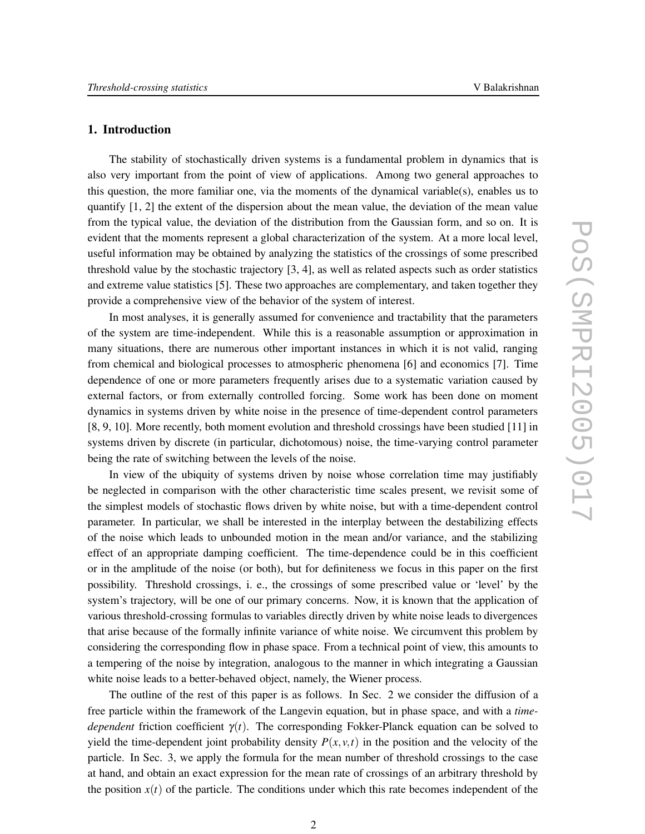# **1. Introduction**

The stability of stochastically driven systems is a fundamental problem in dynamics that is also very important from the point of view of applications. Among two general approaches to this question, the more familiar one, via the moments of the dynamical variable(s), enables us to quantify [1, 2] the extent of the dispersion about the mean value, the deviation of the mean value from the typical value, the deviation of the distribution from the Gaussian form, and so on. It is evident that the moments represent a global characterization of the system. At a more local level, useful information may be obtained by analyzing the statistics of the crossings of some prescribed threshold value by the stochastic trajectory [3, 4], as well as related aspects such as order statistics and extreme value statistics [5]. These two approaches are complementary, and taken together they provide a comprehensive view of the behavior of the system of interest.

In most analyses, it is generally assumed for convenience and tractability that the parameters of the system are time-independent. While this is a reasonable assumption or approximation in many situations, there are numerous other important instances in which it is not valid, ranging from chemical and biological processes to atmospheric phenomena [6] and economics [7]. Time dependence of one or more parameters frequently arises due to a systematic variation caused by external factors, or from externally controlled forcing. Some work has been done on moment dynamics in systems driven by white noise in the presence of time-dependent control parameters [8, 9, 10]. More recently, both moment evolution and threshold crossings have been studied [11] in systems driven by discrete (in particular, dichotomous) noise, the time-varying control parameter being the rate of switching between the levels of the noise.

In view of the ubiquity of systems driven by noise whose correlation time may justifiably be neglected in comparison with the other characteristic time scales present, we revisit some of the simplest models of stochastic flows driven by white noise, but with a time-dependent control parameter. In particular, we shall be interested in the interplay between the destabilizing effects of the noise which leads to unbounded motion in the mean and/or variance, and the stabilizing effect of an appropriate damping coefficient. The time-dependence could be in this coefficient or in the amplitude of the noise (or both), but for definiteness we focus in this paper on the first possibility. Threshold crossings, i. e., the crossings of some prescribed value or 'level' by the system's trajectory, will be one of our primary concerns. Now, it is known that the application of various threshold-crossing formulas to variables directly driven by white noise leads to divergences that arise because of the formally infinite variance of white noise. We circumvent this problem by considering the corresponding flow in phase space. From a technical point of view, this amounts to a tempering of the noise by integration, analogous to the manner in which integrating a Gaussian white noise leads to a better-behaved object, namely, the Wiener process.

The outline of the rest of this paper is as follows. In Sec. 2 we consider the diffusion of a free particle within the framework of the Langevin equation, but in phase space, and with a *timedependent* friction coefficient  $\gamma(t)$ . The corresponding Fokker-Planck equation can be solved to yield the time-dependent joint probability density  $P(x, y, t)$  in the position and the velocity of the particle. In Sec. 3, we apply the formula for the mean number of threshold crossings to the case at hand, and obtain an exact expression for the mean rate of crossings of an arbitrary threshold by the position  $x(t)$  of the particle. The conditions under which this rate becomes independent of the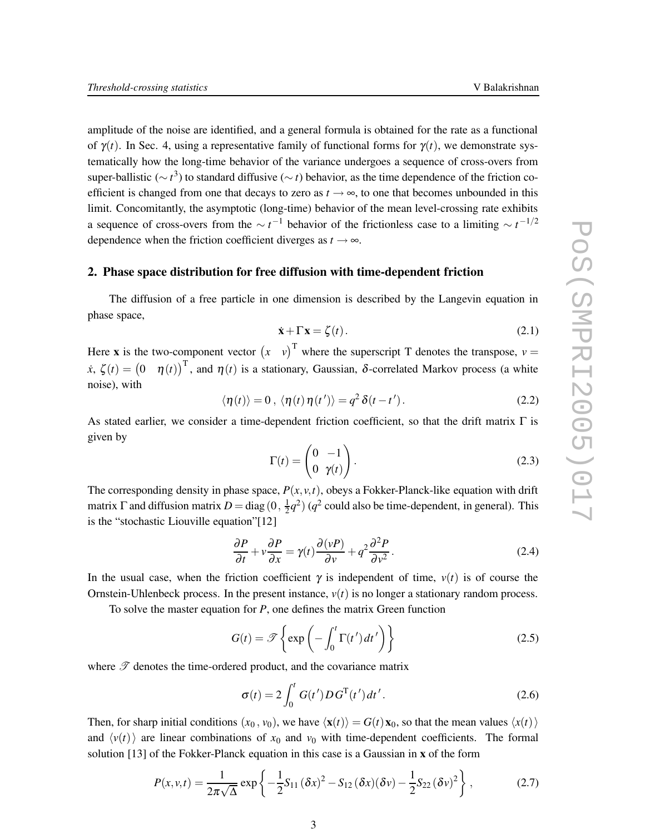amplitude of the noise are identified, and a general formula is obtained for the rate as a functional of  $\gamma(t)$ . In Sec. 4, using a representative family of functional forms for  $\gamma(t)$ , we demonstrate systematically how the long-time behavior of the variance undergoes a sequence of cross-overs from super-ballistic (∼ *t*<sup>3</sup>) to standard diffusive (∼ *t*) behavior, as the time dependence of the friction coefficient is changed from one that decays to zero as  $t \rightarrow \infty$ , to one that becomes unbounded in this limit. Concomitantly, the asymptotic (long-time) behavior of the mean level-crossing rate exhibits a sequence of cross-overs from the  $\sim t^{-1}$  behavior of the frictionless case to a limiting  $\sim t^{-1/2}$ dependence when the friction coefficient diverges as  $t \rightarrow \infty$ .

#### **2. Phase space distribution for free diffusion with time-dependent friction**

The diffusion of a free particle in one dimension is described by the Langevin equation in phase space,

$$
\dot{\mathbf{x}} + \Gamma \mathbf{x} = \zeta(t). \tag{2.1}
$$

Here **x** is the two-component vector  $(x \quad v)^T$  where the superscript T denotes the transpose,  $v =$  $\dot{x}$ ,  $\zeta(t) = \begin{pmatrix} 0 & \eta(t) \end{pmatrix}^T$ , and  $\eta(t)$  is a stationary, Gaussian,  $\delta$ -correlated Markov process (a white noise), with

$$
\langle \eta(t) \rangle = 0, \, \langle \eta(t) \eta(t') \rangle = q^2 \, \delta(t - t'). \tag{2.2}
$$

As stated earlier, we consider a time-dependent friction coefficient, so that the drift matrix  $\Gamma$  is given by

$$
\Gamma(t) = \begin{pmatrix} 0 & -1 \\ 0 & \gamma(t) \end{pmatrix}.
$$
 (2.3)

The corresponding density in phase space,  $P(x, y, t)$ , obeys a Fokker-Planck-like equation with drift matrix  $\Gamma$  and diffusion matrix  $D = diag(0, \frac{1}{2})$  $\frac{1}{2}q^2$ ) ( $q^2$  could also be time-dependent, in general). This is the "stochastic Liouville equation"[12]

$$
\frac{\partial P}{\partial t} + v \frac{\partial P}{\partial x} = \gamma(t) \frac{\partial (vP)}{\partial v} + q^2 \frac{\partial^2 P}{\partial v^2}.
$$
 (2.4)

In the usual case, when the friction coefficient  $\gamma$  is independent of time,  $v(t)$  is of course the Ornstein-Uhlenbeck process. In the present instance,  $v(t)$  is no longer a stationary random process.

To solve the master equation for *P*, one defines the matrix Green function

$$
G(t) = \mathcal{F}\left\{\exp\left(-\int_0^t \Gamma(t')\,dt'\right)\right\} \tag{2.5}
$$

where  $\mathscr T$  denotes the time-ordered product, and the covariance matrix

$$
\sigma(t) = 2 \int_0^t G(t') D G^{T}(t') dt'.
$$
 (2.6)

Then, for sharp initial conditions  $(x_0, v_0)$ , we have  $\langle \mathbf{x}(t) \rangle = G(t) \mathbf{x}_0$ , so that the mean values  $\langle x(t) \rangle$ and  $\langle v(t) \rangle$  are linear combinations of  $x_0$  and  $v_0$  with time-dependent coefficients. The formal solution [13] of the Fokker-Planck equation in this case is a Gaussian in **x** of the form

$$
P(x, v, t) = \frac{1}{2\pi\sqrt{\Delta}} \exp\left\{-\frac{1}{2}S_{11}(\delta x)^2 - S_{12}(\delta x)(\delta v) - \frac{1}{2}S_{22}(\delta v)^2\right\},
$$
 (2.7)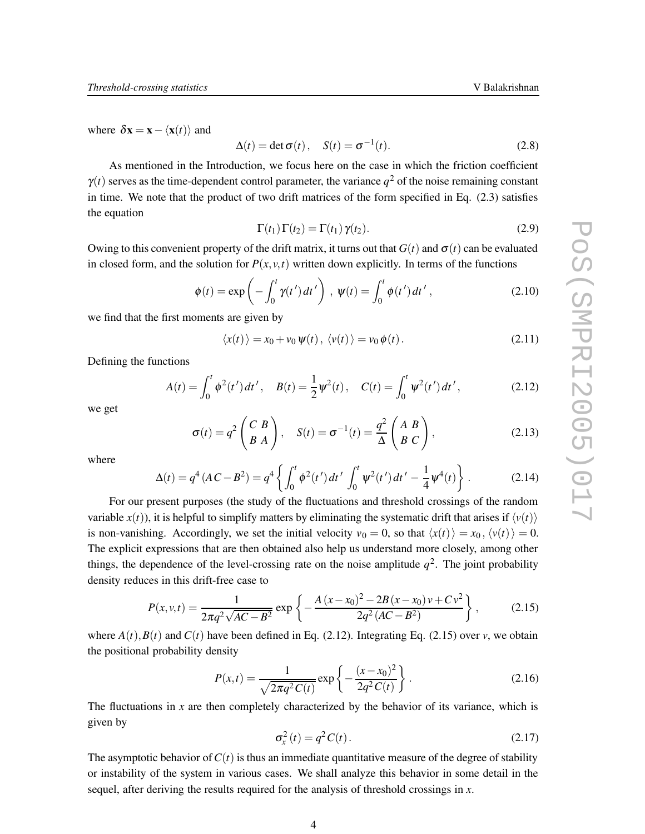where  $\delta \mathbf{x} = \mathbf{x} - \langle \mathbf{x}(t) \rangle$  and

$$
\Delta(t) = \det \sigma(t), \quad S(t) = \sigma^{-1}(t). \tag{2.8}
$$

As mentioned in the Introduction, we focus here on the case in which the friction coefficient  $\gamma(t)$  serves as the time-dependent control parameter, the variance  $q^2$  of the noise remaining constant in time. We note that the product of two drift matrices of the form specified in Eq. (2.3) satisfies the equation

$$
\Gamma(t_1)\Gamma(t_2) = \Gamma(t_1)\gamma(t_2). \tag{2.9}
$$

Owing to this convenient property of the drift matrix, it turns out that  $G(t)$  and  $\sigma(t)$  can be evaluated in closed form, and the solution for  $P(x, y, t)$  written down explicitly. In terms of the functions

$$
\phi(t) = \exp\left(-\int_0^t \gamma(t') dt'\right), \ \psi(t) = \int_0^t \phi(t') dt', \tag{2.10}
$$

we find that the first moments are given by

$$
\langle x(t) \rangle = x_0 + v_0 \Psi(t), \langle v(t) \rangle = v_0 \phi(t). \tag{2.11}
$$

Defining the functions

$$
A(t) = \int_0^t \phi^2(t')dt', \quad B(t) = \frac{1}{2}\psi^2(t), \quad C(t) = \int_0^t \psi^2(t')dt', \tag{2.12}
$$

we get

$$
\sigma(t) = q^2 \begin{pmatrix} C & B \\ B & A \end{pmatrix}, \quad S(t) = \sigma^{-1}(t) = \frac{q^2}{\Delta} \begin{pmatrix} A & B \\ B & C \end{pmatrix}, \tag{2.13}
$$

where

$$
\Delta(t) = q^4 (AC - B^2) = q^4 \left\{ \int_0^t \phi^2(t') dt' \int_0^t \psi^2(t') dt' - \frac{1}{4} \psi^4(t) \right\}.
$$
 (2.14)

For our present purposes (the study of the fluctuations and threshold crossings of the random variable  $x(t)$ ), it is helpful to simplify matters by eliminating the systematic drift that arises if  $\langle v(t) \rangle$ is non-vanishing. Accordingly, we set the initial velocity  $v_0 = 0$ , so that  $\langle x(t) \rangle = x_0$ ,  $\langle v(t) \rangle = 0$ . The explicit expressions that are then obtained also help us understand more closely, among other things, the dependence of the level-crossing rate on the noise amplitude  $q^2$ . The joint probability density reduces in this drift-free case to

$$
P(x, v, t) = \frac{1}{2\pi q^2 \sqrt{AC - B^2}} \exp\left\{-\frac{A\left(x - x_0\right)^2 - 2B\left(x - x_0\right)v + Cv^2}{2q^2\left(AC - B^2\right)}\right\},\tag{2.15}
$$

where  $A(t)$ ,  $B(t)$  and  $C(t)$  have been defined in Eq. (2.12). Integrating Eq. (2.15) over *v*, we obtain the positional probability density

$$
P(x,t) = \frac{1}{\sqrt{2\pi q^2 C(t)}} \exp\left\{-\frac{(x-x_0)^2}{2q^2 C(t)}\right\}.
$$
 (2.16)

The fluctuations in *x* are then completely characterized by the behavior of its variance, which is given by

$$
\sigma_x^2(t) = q^2 C(t). \tag{2.17}
$$

The asymptotic behavior of  $C(t)$  is thus an immediate quantitative measure of the degree of stability or instability of the system in various cases. We shall analyze this behavior in some detail in the sequel, after deriving the results required for the analysis of threshold crossings in *x*.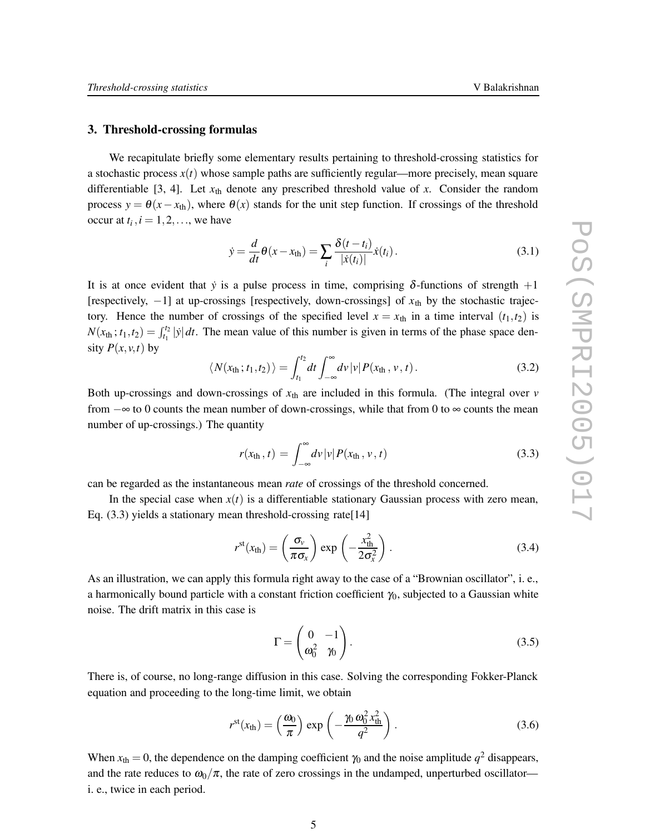## **3. Threshold-crossing formulas**

We recapitulate briefly some elementary results pertaining to threshold-crossing statistics for a stochastic process  $x(t)$  whose sample paths are sufficiently regular—more precisely, mean square differentiable [3, 4]. Let  $x<sub>th</sub>$  denote any prescribed threshold value of x. Consider the random process  $y = \theta(x - x_{\text{th}})$ , where  $\theta(x)$  stands for the unit step function. If crossings of the threshold occur at  $t_i$ ,  $i = 1, 2, \dots$ , we have

$$
\dot{y} = \frac{d}{dt}\theta(x - x_{\text{th}}) = \sum_{i} \frac{\delta(t - t_i)}{|\dot{x}(t_i)|} \dot{x}(t_i).
$$
\n(3.1)

It is at once evident that *y* is a pulse process in time, comprising  $\delta$ -functions of strength +1 [respectively, −1] at up-crossings [respectively, down-crossings] of *x*th by the stochastic trajectory. Hence the number of crossings of the specified level  $x = x_{th}$  in a time interval  $(t_1, t_2)$  is  $N(x_{th}; t_1, t_2) = \int_{t_1}^{t_2} |\dot{y}| dt$ . The mean value of this number is given in terms of the phase space density  $P(x, y, t)$  by

$$
\langle N(x_{\rm th};t_1,t_2)\rangle = \int_{t_1}^{t_2} dt \int_{-\infty}^{\infty} dv \, |\nu| \, P(x_{\rm th},\nu,t). \tag{3.2}
$$

Both up-crossings and down-crossings of  $x<sub>th</sub>$  are included in this formula. (The integral over  $v$ from −∞ to 0 counts the mean number of down-crossings, while that from 0 to ∞ counts the mean number of up-crossings.) The quantity

$$
r(x_{\rm th}, t) = \int_{-\infty}^{\infty} dv \, |v| \, P(x_{\rm th}, v, t) \tag{3.3}
$$

can be regarded as the instantaneous mean *rate* of crossings of the threshold concerned.

In the special case when  $x(t)$  is a differentiable stationary Gaussian process with zero mean, Eq. (3.3) yields a stationary mean threshold-crossing rate[14]

$$
r^{st}(x_{th}) = \left(\frac{\sigma_v}{\pi \sigma_x}\right) \exp\left(-\frac{x_{th}^2}{2\sigma_x^2}\right).
$$
 (3.4)

As an illustration, we can apply this formula right away to the case of a "Brownian oscillator", i. e., a harmonically bound particle with a constant friction coefficient  $\gamma_0$ , subjected to a Gaussian white noise. The drift matrix in this case is

$$
\Gamma = \begin{pmatrix} 0 & -1 \\ \omega_0^2 & \gamma_0 \end{pmatrix} . \tag{3.5}
$$

There is, of course, no long-range diffusion in this case. Solving the corresponding Fokker-Planck equation and proceeding to the long-time limit, we obtain

$$
r^{\rm st}(x_{\rm th}) = \left(\frac{\omega_0}{\pi}\right) \exp\left(-\frac{\gamma_0 \omega_0^2 x_{\rm th}^2}{q^2}\right). \tag{3.6}
$$

When  $x_{\text{th}} = 0$ , the dependence on the damping coefficient  $\gamma_0$  and the noise amplitude  $q^2$  disappears, and the rate reduces to  $\omega_0/\pi$ , the rate of zero crossings in the undamped, unperturbed oscillator i. e., twice in each period.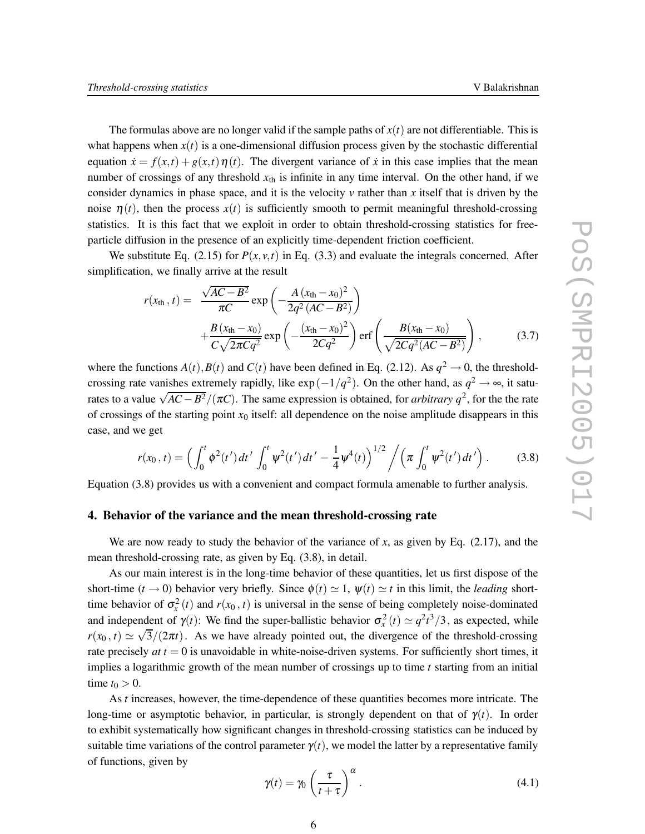The formulas above are no longer valid if the sample paths of  $x(t)$  are not differentiable. This is what happens when  $x(t)$  is a one-dimensional diffusion process given by the stochastic differential equation  $\dot{x} = f(x,t) + g(x,t) \eta(t)$ . The divergent variance of  $\dot{x}$  in this case implies that the mean number of crossings of any threshold  $x<sub>th</sub>$  is infinite in any time interval. On the other hand, if we consider dynamics in phase space, and it is the velocity *v* rather than *x* itself that is driven by the noise  $\eta(t)$ , then the process  $x(t)$  is sufficiently smooth to permit meaningful threshold-crossing statistics. It is this fact that we exploit in order to obtain threshold-crossing statistics for freeparticle diffusion in the presence of an explicitly time-dependent friction coefficient.

We substitute Eq. (2.15) for  $P(x, y, t)$  in Eq. (3.3) and evaluate the integrals concerned. After simplification, we finally arrive at the result

$$
r(x_{\text{th}}, t) = \frac{\sqrt{AC - B^2}}{\pi C} \exp\left(-\frac{A (x_{\text{th}} - x_0)^2}{2q^2 (AC - B^2)}\right)
$$
  
+ 
$$
\frac{B (x_{\text{th}} - x_0)}{C \sqrt{2\pi C q^2}} \exp\left(-\frac{(x_{\text{th}} - x_0)^2}{2Cq^2}\right) \text{erf}\left(\frac{B (x_{\text{th}} - x_0)}{\sqrt{2Cq^2 (AC - B^2)}}\right),
$$
(3.7)

where the functions  $A(t)$ ,  $B(t)$  and  $C(t)$  have been defined in Eq. (2.12). As  $q^2 \rightarrow 0$ , the thresholdcrossing rate vanishes extremely rapidly, like  $\exp(-1/q^2)$ . On the other hand, as  $q^2 \to \infty$ , it saturates to a value  $\sqrt{AC - B^2}/(\pi C)$ . The same expression is obtained, for *arbitrary*  $q^2$ , for the the rate of crossings of the starting point  $x_0$  itself: all dependence on the noise amplitude disappears in this case, and we get

$$
r(x_0, t) = \left(\int_0^t \phi^2(t') dt' \int_0^t \psi^2(t') dt' - \frac{1}{4} \psi^4(t)\right)^{1/2} / \left(\pi \int_0^t \psi^2(t') dt'\right). \tag{3.8}
$$

Equation (3.8) provides us with a convenient and compact formula amenable to further analysis.

# **4. Behavior of the variance and the mean threshold-crossing rate**

We are now ready to study the behavior of the variance of  $x$ , as given by Eq.  $(2.17)$ , and the mean threshold-crossing rate, as given by Eq. (3.8), in detail.

As our main interest is in the long-time behavior of these quantities, let us first dispose of the short-time  $(t \to 0)$  behavior very briefly. Since  $\phi(t) \simeq 1$ ,  $\psi(t) \simeq t$  in this limit, the *leading* shorttime behavior of  $\sigma_x^2(t)$  and  $r(x_0, t)$  is universal in the sense of being completely noise-dominated and independent of  $\gamma(t)$ : We find the super-ballistic behavior  $\sigma_x^2(t) \simeq q^2 t^3/3$ , as expected, while  $r(x_0, t) \simeq \sqrt{3}/(2\pi t)$ . As we have already pointed out, the divergence of the threshold-crossing rate precisely  $at\,t = 0$  is unavoidable in white-noise-driven systems. For sufficiently short times, it implies a logarithmic growth of the mean number of crossings up to time *t* starting from an initial time  $t_0 > 0$ .

As *t* increases, however, the time-dependence of these quantities becomes more intricate. The long-time or asymptotic behavior, in particular, is strongly dependent on that of  $\gamma(t)$ . In order to exhibit systematically how significant changes in threshold-crossing statistics can be induced by suitable time variations of the control parameter  $\gamma(t)$ , we model the latter by a representative family of functions, given by

$$
\gamma(t) = \gamma_0 \left(\frac{\tau}{t+\tau}\right)^{\alpha}.
$$
\n(4.1)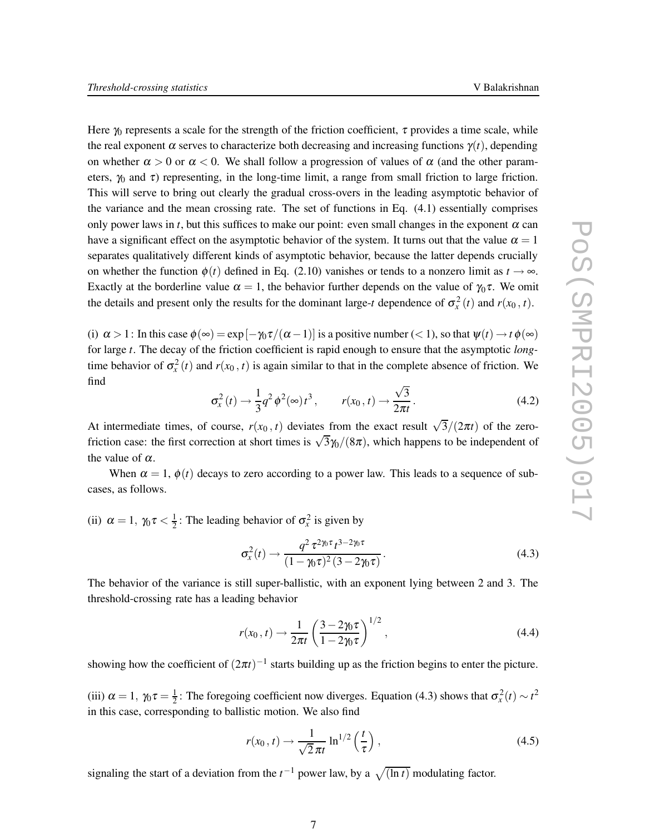Here  $\gamma_0$  represents a scale for the strength of the friction coefficient,  $\tau$  provides a time scale, while the real exponent  $\alpha$  serves to characterize both decreasing and increasing functions  $\gamma(t)$ , depending on whether  $\alpha > 0$  or  $\alpha < 0$ . We shall follow a progression of values of  $\alpha$  (and the other parameters,  $\gamma_0$  and  $\tau$ ) representing, in the long-time limit, a range from small friction to large friction. This will serve to bring out clearly the gradual cross-overs in the leading asymptotic behavior of the variance and the mean crossing rate. The set of functions in Eq. (4.1) essentially comprises only power laws in *t*, but this suffices to make our point: even small changes in the exponent  $\alpha$  can have a significant effect on the asymptotic behavior of the system. It turns out that the value  $\alpha = 1$ separates qualitatively different kinds of asymptotic behavior, because the latter depends crucially on whether the function  $\phi(t)$  defined in Eq. (2.10) vanishes or tends to a nonzero limit as  $t \to \infty$ . Exactly at the borderline value  $\alpha = 1$ , the behavior further depends on the value of  $\gamma_0 \tau$ . We omit the details and present only the results for the dominant large-*t* dependence of  $\sigma_x^2(t)$  and  $r(x_0, t)$ .

(i)  $\alpha > 1$ : In this case  $\phi(\infty) = \exp[-\gamma_0 \tau/(\alpha - 1)]$  is a positive number (< 1), so that  $\psi(t) \to t \phi(\infty)$ for large *t*. The decay of the friction coefficient is rapid enough to ensure that the asymptotic *long*time behavior of  $\sigma_x^2(t)$  and  $r(x_0, t)$  is again similar to that in the complete absence of friction. We find √

$$
\sigma_x^2(t) \to \frac{1}{3} q^2 \phi^2(\infty) t^3, \qquad r(x_0, t) \to \frac{\sqrt{3}}{2\pi t}.
$$
 (4.2)

At intermediate times, of course,  $r(x_0, t)$  deviates from the exact result  $\sqrt{3}/(2\pi t)$  of the zerofriction case: the first correction at short times is  $\sqrt{3}\frac{\gamma_0}{(8\pi)}$ , which happens to be independent of the value of  $\alpha$ .

When  $\alpha = 1$ ,  $\phi(t)$  decays to zero according to a power law. This leads to a sequence of subcases, as follows.

(ii)  $\alpha = 1$ ,  $\gamma_0 \tau < \frac{1}{2}$  $\frac{1}{2}$ : The leading behavior of  $\sigma_x^2$  is given by

$$
\sigma_x^2(t) \to \frac{q^2 \,\tau^{2\eta\,\tau} t^{3-2\eta\,\tau}}{(1-\eta\,\tau)^2 (3-2\eta\,\tau)}\,. \tag{4.3}
$$

The behavior of the variance is still super-ballistic, with an exponent lying between 2 and 3. The threshold-crossing rate has a leading behavior

$$
r(x_0, t) \to \frac{1}{2\pi t} \left( \frac{3 - 2\gamma_0 \tau}{1 - 2\gamma_0 \tau} \right)^{1/2},
$$
\n(4.4)

showing how the coefficient of  $(2\pi t)^{-1}$  starts building up as the friction begins to enter the picture.

(iii)  $\alpha = 1, \gamma_0 \tau = \frac{1}{2}$  $\frac{1}{2}$ : The foregoing coefficient now diverges. Equation (4.3) shows that  $\sigma_x^2(t) \sim t^2$ in this case, corresponding to ballistic motion. We also find

$$
r(x_0, t) \to \frac{1}{\sqrt{2}\pi t} \ln^{1/2}\left(\frac{t}{\tau}\right),\tag{4.5}
$$

signaling the start of a deviation from the  $t^{-1}$  power law, by a  $\sqrt{(\ln t)}$  modulating factor.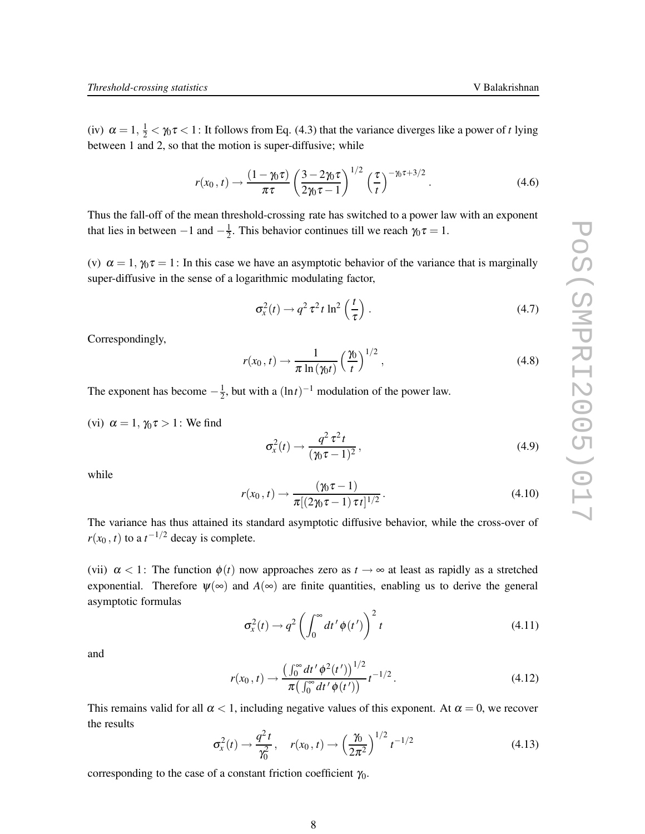$$
r(x_0, t) \rightarrow \frac{(1 - \gamma_0 \tau)}{\pi \tau} \left(\frac{3 - 2\gamma_0 \tau}{2\gamma_0 \tau - 1}\right)^{1/2} \left(\frac{\tau}{t}\right)^{-\gamma_0 \tau + 3/2}.
$$
 (4.6)

Thus the fall-off of the mean threshold-crossing rate has switched to a power law with an exponent that lies in between  $-1$  and  $-\frac{1}{2}$  $\frac{1}{2}$ . This behavior continues till we reach  $\gamma_0 \tau = 1$ .

(v)  $\alpha = 1$ ,  $\gamma_0 \tau = 1$ : In this case we have an asymptotic behavior of the variance that is marginally super-diffusive in the sense of a logarithmic modulating factor,

$$
\sigma_x^2(t) \to q^2 \tau^2 t \ln^2\left(\frac{t}{\tau}\right). \tag{4.7}
$$

Correspondingly,

$$
r(x_0, t) \to \frac{1}{\pi \ln(\gamma_0 t)} \left(\frac{\gamma_0}{t}\right)^{1/2}, \qquad (4.8)
$$

The exponent has become  $-\frac{1}{2}$  $\frac{1}{2}$ , but with a  $(\ln t)^{-1}$  modulation of the power law.

(vi)  $\alpha = 1$ ,  $\gamma_0 \tau > 1$ : We find

$$
\sigma_x^2(t) \to \frac{q^2 \tau^2 t}{(\gamma_0 \tau - 1)^2},\tag{4.9}
$$

while

$$
r(x_0, t) \to \frac{(\gamma_0 \tau - 1)}{\pi [(2\gamma_0 \tau - 1) \tau t]^{1/2}}.
$$
\n(4.10)

The variance has thus attained its standard asymptotic diffusive behavior, while the cross-over of  $r(x_0, t)$  to a  $t^{-1/2}$  decay is complete.

(vii)  $\alpha$  < 1: The function  $\phi(t)$  now approaches zero as  $t \to \infty$  at least as rapidly as a stretched exponential. Therefore  $\psi(\infty)$  and  $A(\infty)$  are finite quantities, enabling us to derive the general asymptotic formulas

> $\sigma_x^2(t) \rightarrow q^2 \left( \int_0^\infty$  $\boldsymbol{0}$  $dt'$  $\phi$  $(t')$ <sup>2</sup> *t* (4.11)

and

$$
r(x_0, t) \to \frac{\left(\int_0^\infty dt' \phi^2(t')\right)^{1/2}}{\pi \left(\int_0^\infty dt' \phi(t')\right)} t^{-1/2}.
$$
 (4.12)

This remains valid for all  $\alpha < 1$ , including negative values of this exponent. At  $\alpha = 0$ , we recover the results

$$
\sigma_x^2(t) \to \frac{q^2 t}{\gamma_0^2}, \quad r(x_0, t) \to \left(\frac{\gamma_0}{2\pi^2}\right)^{1/2} t^{-1/2}
$$
\n(4.13)

corresponding to the case of a constant friction coefficient  $\gamma_0$ .